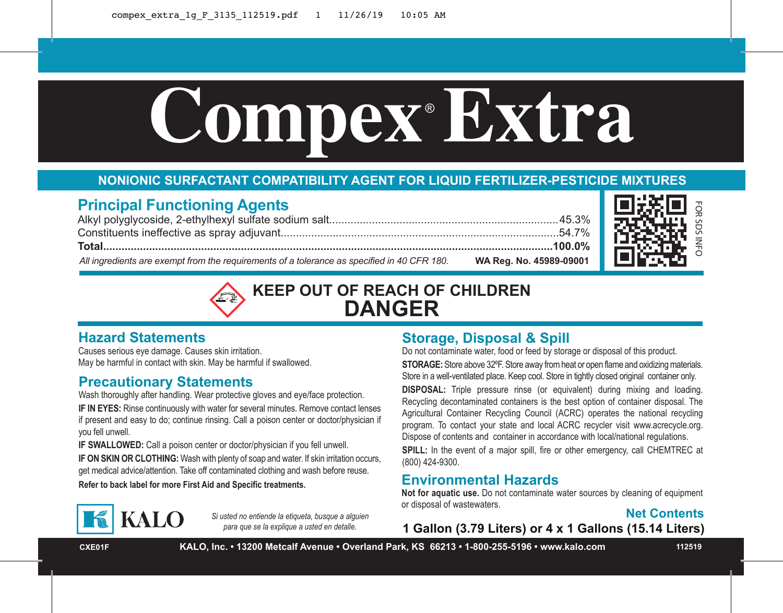# Compex Extra

# **NONIONIC SURFACTANT COMPATIBILITY AGENT FOR LIQUID FERTILIZER-PESTICIDE MIXTURES**

# **Principal Functioning Agents**

Alkyl polyglycoside, 2-ethylhexyl sulfate sodium salt...........................................................................45.3% Constituents ineffective as spray adjuvant...........................................................................................54.7% **Total...................................................................................................................................................100.0%** *All ingredients are exempt from the requirements of a tolerance as specified in 40 CFR 180.* **WA Reg. No. 45989-09001**



FOR SDS INFO

# **KEEP OUT OF REACH OF CHILDREN DANGER**

# **Hazard Statements**

Causes serious eye damage. Causes skin irritation. May be harmful in contact with skin. May be harmful if swallowed.

# **Precautionary Statements**

Wash thoroughly after handling. Wear protective gloves and eye/face protection.

**IF IN EYES:** Rinse continuously with water for several minutes. Remove contact lenses if present and easy to do; continue rinsing. Call a poison center or doctor/physician if you fell unwell.

**IF SWALLOWED:** Call a poison center or doctor/physician if you fell unwell. **IF ON SKIN OR CLOTHING:** Wash with plenty of soap and water. If skin irritation occurs, get medical advice/attention. Take off contaminated clothing and wash before reuse.

# **KALO**

*Si usted no entiende la etiqueta, busque a alguien para que se la explique a usted en detalle.*

# **Storage, Disposal & Spill**

Do not contaminate water, food or feed by storage or disposal of this product. **STORAGE:** Store above 32ºF. Store away from heat or open flame and oxidizing materials. Store in a well-ventilated place. Keep cool. Store in tightly closed original container only.

**DISPOSAL:** Triple pressure rinse (or equivalent) during mixing and loading. Recycling decontaminated containers is the best option of container disposal. The Agricultural Container Recycling Council (ACRC) operates the national recycling program. To contact your state and local ACRC recycler visit www.acrecycle.org. Dispose of contents and container in accordance with local/national regulations. **SPILL:** In the event of a major spill, fire or other emergency, call CHEMTREC at (800) 424-9300.

# **Refer to back label for more First Aid and Specific treatments. Environmental Hazards**

**Not for aquatic use.** Do not contaminate water sources by cleaning of equipment or disposal of wastewaters.



**1 Gallon (3.79 Liters) or 4 x 1 Gallons (15.14 Liters)**

**CXE01F KALO, Inc. • 13200 Metcalf Avenue • Overland Park, KS 66213 • 1-800-255-5196 • www.kalo.com 112519**